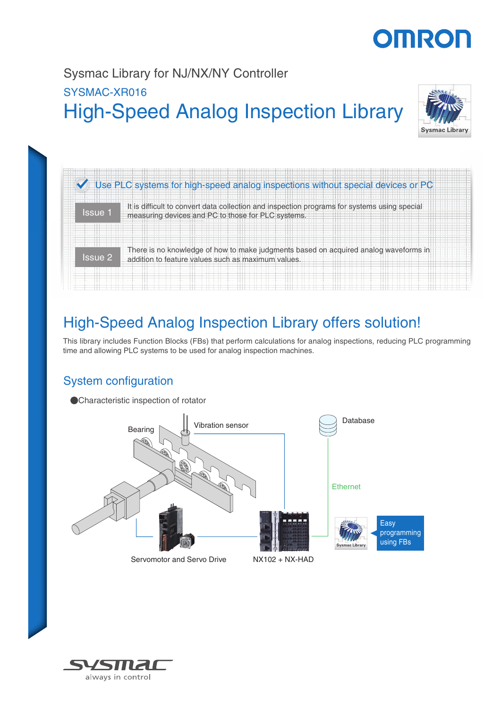# **OMRON**

# High-Speed Analog Inspection Library Sysmac Library for NJ/NX/NY Controller SYSMAC-XR016



|                | Use PLC systems for high-speed analog inspections without special devices or PC                                                            |  |  |  |  |  |
|----------------|--------------------------------------------------------------------------------------------------------------------------------------------|--|--|--|--|--|
| Issue 1        | It is difficult to convert data collection and inspection pr<br>measuring devices and PC to those for PLC systems.                         |  |  |  |  |  |
| <b>Issue 2</b> | There is no knowledge of how to make judgments based on acquired analog waveforms in<br>addition to feature values such as maximum values. |  |  |  |  |  |

## High-Speed Analog Inspection Library offers solution!

This library includes Function Blocks (FBs) that perform calculations for analog inspections, reducing PLC programming time and allowing PLC systems to be used for analog inspection machines.

### System configuration



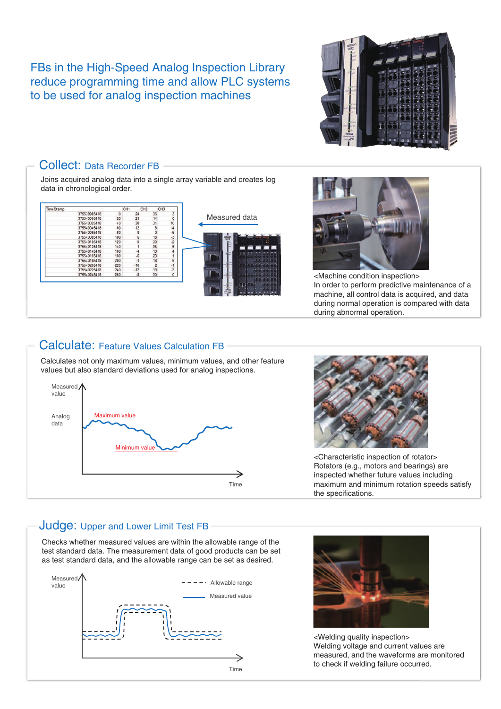FBs in the High-Speed Analog Inspection Library reduce programming time and allow PLC systems to be used for analog inspection machines



| TimeStamp |              | CH <sub>1</sub> |           | CH <sub>2</sub> | CH <sub>3</sub> |                      |               |  |
|-----------|--------------|-----------------|-----------|-----------------|-----------------|----------------------|---------------|--|
|           | 375539985418 | o               | 24        | 36              |                 |                      |               |  |
|           | 375540005418 | 20              | 21        | 14              |                 | 0                    | Measured data |  |
|           | 375540025418 | 40              | 30        | 34              |                 | 10                   |               |  |
|           | 375540045418 | 60              | 12        | 8               |                 | -4                   |               |  |
|           | 375540065418 | 80              | 8         | 0               |                 | $-6$                 |               |  |
|           | 375540085418 | 100             |           | 18              |                 | $-3$                 |               |  |
|           | 375540105418 | 120             | 0         | 30              |                 | $\cdot$ <sub>2</sub> |               |  |
|           | 375540125418 | 140             |           | 35              |                 | 6                    |               |  |
|           | 375540145418 | 160             |           | 13              |                 | 4                    |               |  |
|           | 375540165418 | 180             | -6        | 23              |                 |                      |               |  |
|           | 375540185418 | 200             | $\cdot$ 1 | 18              |                 | 9                    |               |  |
|           | 375540205418 | 220             | $-10$     | $\overline{2}$  |                 | $\cdot$ 1            |               |  |
|           | 375540225418 | 240             | $-12$     | 13              |                 | $\ddot{\textbf{3}}$  |               |  |
|           | 375540245418 | 260             | $-8$      | 30              |                 | 0                    |               |  |
|           |              |                 |           |                 |                 |                      |               |  |



<Machine condition inspection> In order to perform predictive maintenance of a machine, all control data is acquired, and data during normal operation is compared with data during abnormal operation.

### Calculate: Feature Values Calculation FB

Calculates not only maximum values, minimum values, and other feature values but also standard deviations used for analog inspections.





<Characteristic inspection of rotator> Rotators (e.g., motors and bearings) are inspected whether future values including maximum and minimum rotation speeds satisfy the specifications.

#### Judge: Upper and Lower Limit Test FB

Checks whether measured values are within the allowable range of the test standard data. The measurement data of good products can be set as test standard data, and the allowable range can be set as desired.





<Welding quality inspection> Welding voltage and current values are measured, and the waveforms are monitored to check if welding failure occurred.